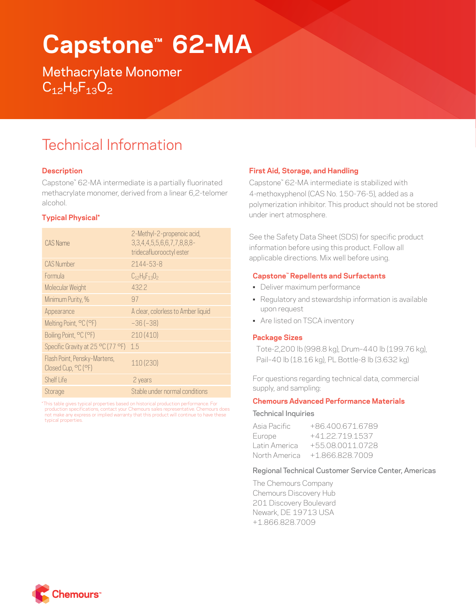# **Capstone™ 62-MA**

Methacrylate Monomer  $C_{12}H_9F_{13}O_2$ 

## Technical Information

### **Description**

Capstone™ 62-MA intermediate is a partially fluorinated methacrylate monomer, derived from a linear 6,2-telomer alcohol.

### **Typical Physical\***

| CAS Name                                            | 2-Methyl-2-propenoic acid,<br>3, 3, 4, 4, 5, 5, 6, 6, 7, 7, 8, 8, 8-<br>tridecafluorooctyl ester |
|-----------------------------------------------------|--------------------------------------------------------------------------------------------------|
| <b>CAS Number</b>                                   | $2144 - 53 - 8$                                                                                  |
| Formula                                             | $C_{12}H_{9}F_{13}O_{2}$                                                                         |
| Molecular Weight                                    | 432.2                                                                                            |
| Minimum Purity, %                                   | 97                                                                                               |
| Appearance                                          | A clear, colorless to Amber liquid                                                               |
| Melting Point, °C (°F)                              | $-36(-38)$                                                                                       |
| Boiling Point, °C (°F)                              | 210(410)                                                                                         |
| Specific Gravity at 25 °C (77 °F)                   | 15                                                                                               |
| Flash Point, Pensky-Martens,<br>Closed Cup, °C (°F) | 110 (230)                                                                                        |
| Shelf Life                                          | 2 years                                                                                          |
| Storage                                             | Stable under normal conditions                                                                   |

\* This table gives typical properties based on historical production performance. For production specifications, contact your Chemours sales representative. Chemours does not make any express or implied warranty that this product will continue to have these typical properties.

#### **First Aid, Storage, and Handling**

Capstone™ 62-MA intermediate is stabilized with 4-methoxyphenol (CAS No. 150-76-5), added as a polymerization inhibitor. This product should not be stored under inert atmosphere.

See the Safety Data Sheet (SDS) for specific product information before using this product. Follow all applicable directions. Mix well before using.

### **Capstone™ Repellents and Surfactants**

- Deliver maximum performance
- Regulatory and stewardship information is available upon request
- Are listed on TSCA inventory

#### **Package Sizes**

Tote-2,200 lb (998.8 kg), Drum–440 lb (199.76 kg), Pail–40 lb (18.16 kg), PL Bottle-8 lb (3.632 kg)

For questions regarding technical data, commercial supply, and sampling:

#### **Chemours Advanced Performance Materials**

#### Technical Inquiries

| Asia Pacific  | +864006716789    |
|---------------|------------------|
| Europe        | +41 22 719 1537  |
| Latin America | +55 08 0011 0728 |
| North America | $+18668287009$   |

#### Regional Technical Customer Service Center, Americas

The Chemours Company Chemours Discovery Hub 201 Discovery Boulevard Newark, DE 19713 USA +1.866.828.7009